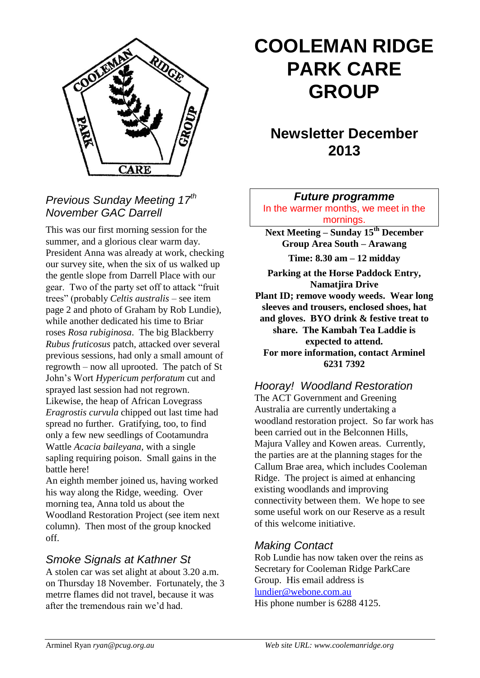

## *Previous Sunday Meeting 17th November GAC Darrell*

This was our first morning session for the summer, and a glorious clear warm day. President Anna was already at work, checking our survey site, when the six of us walked up the gentle slope from Darrell Place with our gear. Two of the party set off to attack "fruit trees" (probably *Celtis australis* – see item page 2 and photo of Graham by Rob Lundie), while another dedicated his time to Briar roses *Rosa rubiginosa*. The big Blackberry *Rubus fruticosus* patch, attacked over several previous sessions, had only a small amount of regrowth – now all uprooted. The patch of St John's Wort *Hypericum perforatum* cut and sprayed last session had not regrown. Likewise, the heap of African Lovegrass *Eragrostis curvula* chipped out last time had spread no further. Gratifying, too, to find only a few new seedlings of Cootamundra Wattle *Acacia baileyana*, with a single sapling requiring poison. Small gains in the battle here!

An eighth member joined us, having worked his way along the Ridge, weeding. Over morning tea, Anna told us about the Woodland Restoration Project (see item next column). Then most of the group knocked off.

## *Smoke Signals at Kathner St*

A stolen car was set alight at about 3.20 a.m. on Thursday 18 November. Fortunately, the 3 metrre flames did not travel, because it was after the tremendous rain we'd had.

# **COOLEMAN RIDGE PARK CARE GROUP**

## **Newsletter December 2013**

*Future programme*

In the warmer months, we meet in the mornings.

**Next Meeting – Sunday 15th December Group Area South – Arawang Time: 8.30 am – 12 midday**

**Parking at the Horse Paddock Entry, Namatjira Drive Plant ID; remove woody weeds. Wear long sleeves and trousers, enclosed shoes, hat and gloves. BYO drink & festive treat to share. The Kambah Tea Laddie is expected to attend. For more information, contact Arminel 6231 7392**

## *Hooray! Woodland Restoration*

The ACT Government and Greening Australia are currently undertaking a woodland restoration project. So far work has been carried out in the Belconnen Hills, Majura Valley and Kowen areas. Currently, the parties are at the planning stages for the Callum Brae area, which includes Cooleman Ridge. The project is aimed at enhancing existing woodlands and improving connectivity between them. We hope to see some useful work on our Reserve as a result of this welcome initiative.

## *Making Contact*

Rob Lundie has now taken over the reins as Secretary for Cooleman Ridge ParkCare Group. His email address is [lundier@webone.com.au](mailto:lundier@webone.com.au) His phone number is 6288 4125.